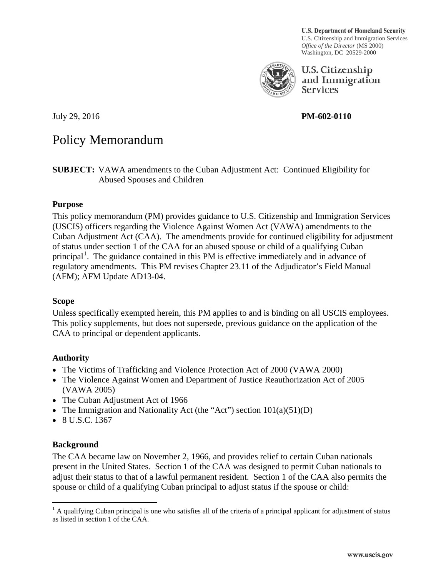**U.S. Department of Homeland Security** U.S. Citizenship and Immigration Services *Office of the Director* (MS 2000) Washington, DC 20529-2000



U.S. Citizenship and Immigration **Services** 

## July 29, 2016 **PM-602-0110**

# Policy Memorandum

**SUBJECT:** VAWA amendments to the Cuban Adjustment Act: Continued Eligibility for Abused Spouses and Children

#### **Purpose**

This policy memorandum (PM) provides guidance to U.S. Citizenship and Immigration Services (USCIS) officers regarding the Violence Against Women Act (VAWA) amendments to the Cuban Adjustment Act (CAA). The amendments provide for continued eligibility for adjustment of status under section 1 of the CAA for an abused spouse or child of a qualifying Cuban principal<sup>1</sup>. The guidance contained in this PM is effective immediately and in advance of regulatory amendments. This PM revises Chapter 23.11 of the Adjudicator's Field Manual (AFM); AFM Update AD13-04.

#### **Scope**

Unless specifically exempted herein, this PM applies to and is binding on all USCIS employees. This policy supplements, but does not supersede, previous guidance on the application of the CAA to principal or dependent applicants.

### **Authority**

- The Victims of Trafficking and Violence Protection Act of 2000 (VAWA 2000)
- The Violence Against Women and Department of Justice Reauthorization Act of 2005 (VAWA 2005)
- The Cuban Adjustment Act of 1966
- The Immigration and Nationality Act (the "Act") section  $101(a)(51)(D)$
- $\bullet$  8 U.S.C. 1367

### **Background**

The CAA became law on November 2, 1966, and provides relief to certain Cuban nationals present in the United States. Section 1 of the CAA was designed to permit Cuban nationals to adjust their status to that of a lawful permanent resident. Section 1 of the CAA also permits the spouse or child of a qualifying Cuban principal to adjust status if the spouse or child:

 $<sup>1</sup>$  A qualifying Cuban principal is one who satisfies all of the criteria of a principal applicant for adjustment of status</sup> as listed in section 1 of the CAA.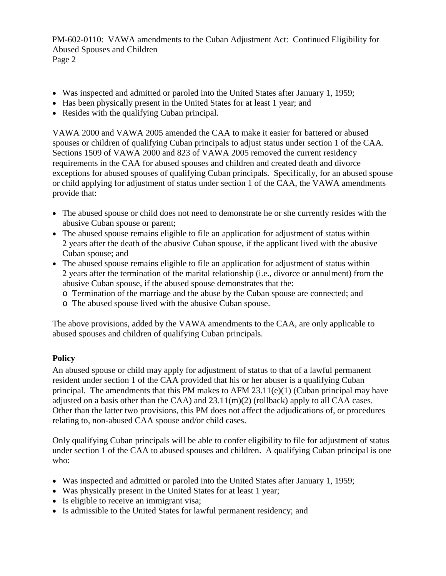- Was inspected and admitted or paroled into the United States after January 1, 1959;
- Has been physically present in the United States for at least 1 year; and
- Resides with the qualifying Cuban principal.

VAWA 2000 and VAWA 2005 amended the CAA to make it easier for battered or abused spouses or children of qualifying Cuban principals to adjust status under section 1 of the CAA. Sections 1509 of VAWA 2000 and 823 of VAWA 2005 removed the current residency requirements in the CAA for abused spouses and children and created death and divorce exceptions for abused spouses of qualifying Cuban principals. Specifically, for an abused spouse or child applying for adjustment of status under section 1 of the CAA, the VAWA amendments provide that:

- The abused spouse or child does not need to demonstrate he or she currently resides with the abusive Cuban spouse or parent;
- The abused spouse remains eligible to file an application for adjustment of status within 2 years after the death of the abusive Cuban spouse, if the applicant lived with the abusive Cuban spouse; and
- The abused spouse remains eligible to file an application for adjustment of status within 2 years after the termination of the marital relationship (i.e., divorce or annulment) from the abusive Cuban spouse, if the abused spouse demonstrates that the:
	- o Termination of the marriage and the abuse by the Cuban spouse are connected; and
	- o The abused spouse lived with the abusive Cuban spouse.

The above provisions, added by the VAWA amendments to the CAA, are only applicable to abused spouses and children of qualifying Cuban principals.

### **Policy**

An abused spouse or child may apply for adjustment of status to that of a lawful permanent resident under section 1 of the CAA provided that his or her abuser is a qualifying Cuban principal. The amendments that this PM makes to AFM  $23.11(e)(1)$  (Cuban principal may have adjusted on a basis other than the CAA) and  $23.11(m)(2)$  (rollback) apply to all CAA cases. Other than the latter two provisions, this PM does not affect the adjudications of, or procedures relating to, non-abused CAA spouse and/or child cases.

Only qualifying Cuban principals will be able to confer eligibility to file for adjustment of status under section 1 of the CAA to abused spouses and children. A qualifying Cuban principal is one who:

- Was inspected and admitted or paroled into the United States after January 1, 1959;
- Was physically present in the United States for at least 1 year;
- Is eligible to receive an immigrant visa;
- Is admissible to the United States for lawful permanent residency; and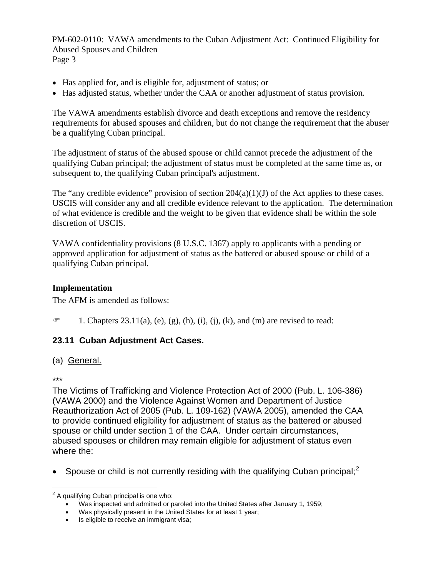- Has applied for, and is eligible for, adjustment of status; or
- Has adjusted status, whether under the CAA or another adjustment of status provision.

The VAWA amendments establish divorce and death exceptions and remove the residency requirements for abused spouses and children, but do not change the requirement that the abuser be a qualifying Cuban principal.

The adjustment of status of the abused spouse or child cannot precede the adjustment of the qualifying Cuban principal; the adjustment of status must be completed at the same time as, or subsequent to, the qualifying Cuban principal's adjustment.

The "any credible evidence" provision of section  $204(a)(1)(J)$  of the Act applies to these cases. USCIS will consider any and all credible evidence relevant to the application. The determination of what evidence is credible and the weight to be given that evidence shall be within the sole discretion of USCIS.

VAWA confidentiality provisions (8 U.S.C. 1367) apply to applicants with a pending or approved application for adjustment of status as the battered or abused spouse or child of a qualifying Cuban principal.

### **Implementation**

The AFM is amended as follows:

 $\mathcal{F}$  1. Chapters 23.11(a), (e), (g), (h), (i), (j), (k), and (m) are revised to read:

### **23.11 Cuban Adjustment Act Cases.**

#### (a) General.

#### \*\*\*

The Victims of Trafficking and Violence Protection Act of 2000 (Pub. L. 106-386) (VAWA 2000) and the Violence Against Women and Department of Justice Reauthorization Act of 2005 (Pub. L. 109-162) (VAWA 2005), amended the CAA to provide continued eligibility for adjustment of status as the battered or abused spouse or child under section 1 of the CAA. Under certain circumstances, abused spouses or children may remain eligible for adjustment of status even where the:

Spouse or child is not currently residing with the qualifying Cuban principal;<sup>2</sup>

 $2$  A qualifying Cuban principal is one who:

 $\bullet$  Was inspected and admitted or paroled into the United States after January 1, 1959;

Was physically present in the United States for at least 1 year;

<sup>•</sup> Is eligible to receive an immigrant visa;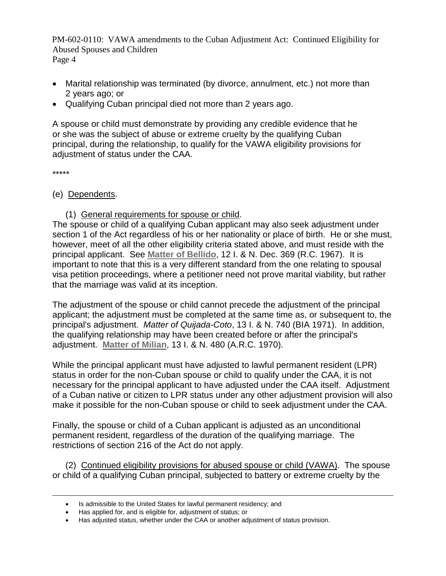- Marital relationship was terminated (by divorce, annulment, etc.) not more than 2 years ago; or
- Qualifying Cuban principal died not more than 2 years ago.

A spouse or child must demonstrate by providing any credible evidence that he or she was the subject of abuse or extreme cruelty by the qualifying Cuban principal, during the relationship, to qualify for the VAWA eligibility provisions for adjustment of status under the CAA.

\*\*\*\*\*

#### (e) Dependents.

#### (1) General requirements for spouse or child.

The spouse or child of a qualifying Cuban applicant may also seek adjustment under section 1 of the Act regardless of his or her nationality or place of birth. He or she must, however, meet of all the other eligibility criteria stated above, and must reside with the principal applicant. See **Matter of Bellido**, 12 I. & N. Dec. 369 (R.C. 1967). It is important to note that this is a very different standard from the one relating to spousal visa petition proceedings, where a petitioner need not prove marital viability, but rather that the marriage was valid at its inception.

The adjustment of the spouse or child cannot precede the adjustment of the principal applicant; the adjustment must be completed at the same time as, or subsequent to, the principal's adjustment. *Matter of Quijada-Coto*, 13 I. & N. 740 (BIA 1971). In addition, the qualifying relationship may have been created before or after the principal's adjustment. **Matter of Milian**, 13 I. & N. 480 (A.R.C. 1970).

While the principal applicant must have adjusted to lawful permanent resident (LPR) status in order for the non-Cuban spouse or child to qualify under the CAA, it is not necessary for the principal applicant to have adjusted under the CAA itself. Adjustment of a Cuban native or citizen to LPR status under any other adjustment provision will also make it possible for the non-Cuban spouse or child to seek adjustment under the CAA.

Finally, the spouse or child of a Cuban applicant is adjusted as an unconditional permanent resident, regardless of the duration of the qualifying marriage. The restrictions of section 216 of the Act do not apply.

(2) Continued eligibility provisions for abused spouse or child (VAWA). The spouse or child of a qualifying Cuban principal, subjected to battery or extreme cruelty by the

<sup>•</sup> Is admissible to the United States for lawful permanent residency; and

<sup>•</sup> Has applied for, and is eligible for, adjustment of status; or

<sup>•</sup> Has adjusted status, whether under the CAA or another adjustment of status provision.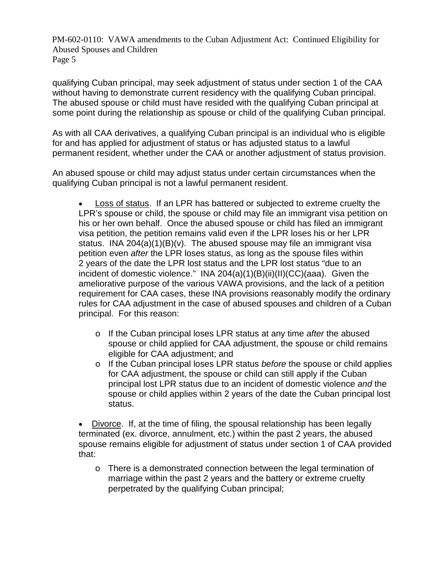qualifying Cuban principal, may seek adjustment of status under section 1 of the CAA without having to demonstrate current residency with the qualifying Cuban principal. The abused spouse or child must have resided with the qualifying Cuban principal at some point during the relationship as spouse or child of the qualifying Cuban principal.

As with all CAA derivatives, a qualifying Cuban principal is an individual who is eligible for and has applied for adjustment of status or has adjusted status to a lawful permanent resident, whether under the CAA or another adjustment of status provision.

An abused spouse or child may adjust status under certain circumstances when the qualifying Cuban principal is not a lawful permanent resident.

Loss of status. If an LPR has battered or subjected to extreme cruelty the LPR's spouse or child, the spouse or child may file an immigrant visa petition on his or her own behalf. Once the abused spouse or child has filed an immigrant visa petition, the petition remains valid even if the LPR loses his or her LPR status. INA 204(a) $(1)(B)(v)$ . The abused spouse may file an immigrant visa petition even *after* the LPR loses status, as long as the spouse files within 2 years of the date the LPR lost status and the LPR lost status "due to an incident of domestic violence." INA 204(a)(1)(B)(ii)(II)(CC)(aaa). Given the ameliorative purpose of the various VAWA provisions, and the lack of a petition requirement for CAA cases, these INA provisions reasonably modify the ordinary rules for CAA adjustment in the case of abused spouses and children of a Cuban principal. For this reason:

- o If the Cuban principal loses LPR status at any time *after* the abused spouse or child applied for CAA adjustment, the spouse or child remains eligible for CAA adjustment; and
- o If the Cuban principal loses LPR status *before* the spouse or child applies for CAA adjustment, the spouse or child can still apply if the Cuban principal lost LPR status due to an incident of domestic violence *and* the spouse or child applies within 2 years of the date the Cuban principal lost status.

• Divorce. If, at the time of filing, the spousal relationship has been legally terminated (ex. divorce, annulment, etc.) within the past 2 years, the abused spouse remains eligible for adjustment of status under section 1 of CAA provided that:

 $\circ$  There is a demonstrated connection between the legal termination of marriage within the past 2 years and the battery or extreme cruelty perpetrated by the qualifying Cuban principal;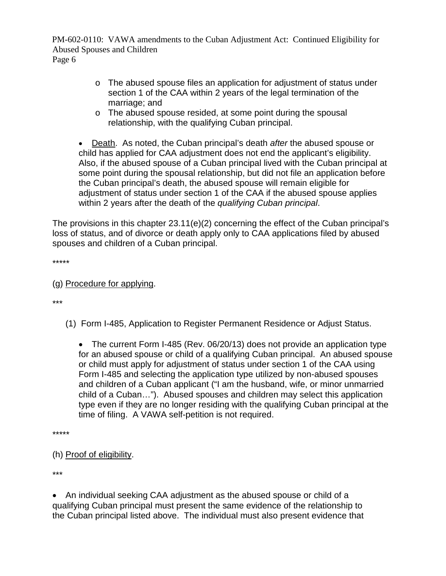- o The abused spouse files an application for adjustment of status under section 1 of the CAA within 2 years of the legal termination of the marriage; and
- o The abused spouse resided, at some point during the spousal relationship, with the qualifying Cuban principal.
- x Death. As noted, the Cuban principal's death *after* the abused spouse or child has applied for CAA adjustment does not end the applicant's eligibility. Also, if the abused spouse of a Cuban principal lived with the Cuban principal at some point during the spousal relationship, but did not file an application before the Cuban principal's death, the abused spouse will remain eligible for adjustment of status under section 1 of the CAA if the abused spouse applies within 2 years after the death of the *qualifying Cuban principal*.

The provisions in this chapter 23.11(e)(2) concerning the effect of the Cuban principal's loss of status, and of divorce or death apply only to CAA applications filed by abused spouses and children of a Cuban principal.

\*\*\*\*\*

(g) Procedure for applying.

\*\*\*

(1) Form I-485, Application to Register Permanent Residence or Adjust Status.

• The current Form I-485 (Rev. 06/20/13) does not provide an application type for an abused spouse or child of a qualifying Cuban principal. An abused spouse or child must apply for adjustment of status under section 1 of the CAA using Form I-485 and selecting the application type utilized by non-abused spouses and children of a Cuban applicant ("I am the husband, wife, or minor unmarried child of a Cuban…"). Abused spouses and children may select this application type even if they are no longer residing with the qualifying Cuban principal at the time of filing. A VAWA self-petition is not required.

\*\*\*\*\*

## (h) Proof of eligibility.

\*\*\*

• An individual seeking CAA adjustment as the abused spouse or child of a qualifying Cuban principal must present the same evidence of the relationship to the Cuban principal listed above. The individual must also present evidence that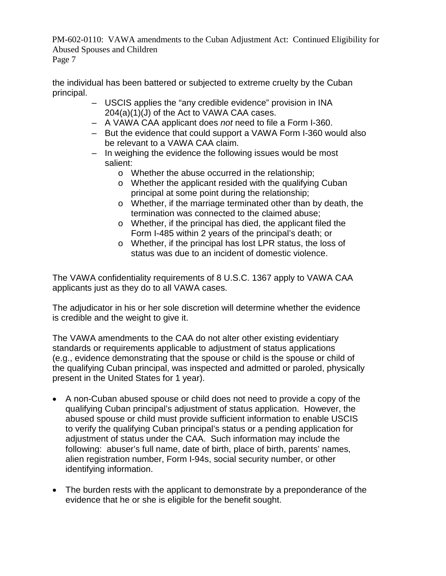the individual has been battered or subjected to extreme cruelty by the Cuban principal.

- USCIS applies the "any credible evidence" provision in INA 204(a)(1)(J) of the Act to VAWA CAA cases.
- A VAWA CAA applicant does *not* need to file a Form I-360.
- But the evidence that could support a VAWA Form I-360 would also be relevant to a VAWA CAA claim.
- In weighing the evidence the following issues would be most salient:
	- o Whether the abuse occurred in the relationship;
	- o Whether the applicant resided with the qualifying Cuban principal at some point during the relationship;
	- o Whether, if the marriage terminated other than by death, the termination was connected to the claimed abuse;
	- o Whether, if the principal has died, the applicant filed the Form I-485 within 2 years of the principal's death; or
	- o Whether, if the principal has lost LPR status, the loss of status was due to an incident of domestic violence.

The VAWA confidentiality requirements of 8 U.S.C. 1367 apply to VAWA CAA applicants just as they do to all VAWA cases.

The adjudicator in his or her sole discretion will determine whether the evidence is credible and the weight to give it.

The VAWA amendments to the CAA do not alter other existing evidentiary standards or requirements applicable to adjustment of status applications (e.g., evidence demonstrating that the spouse or child is the spouse or child of the qualifying Cuban principal, was inspected and admitted or paroled, physically present in the United States for 1 year).

- A non-Cuban abused spouse or child does not need to provide a copy of the qualifying Cuban principal's adjustment of status application. However, the abused spouse or child must provide sufficient information to enable USCIS to verify the qualifying Cuban principal's status or a pending application for adjustment of status under the CAA. Such information may include the following: abuser's full name, date of birth, place of birth, parents' names, alien registration number, Form I-94s, social security number, or other identifying information.
- The burden rests with the applicant to demonstrate by a preponderance of the evidence that he or she is eligible for the benefit sought.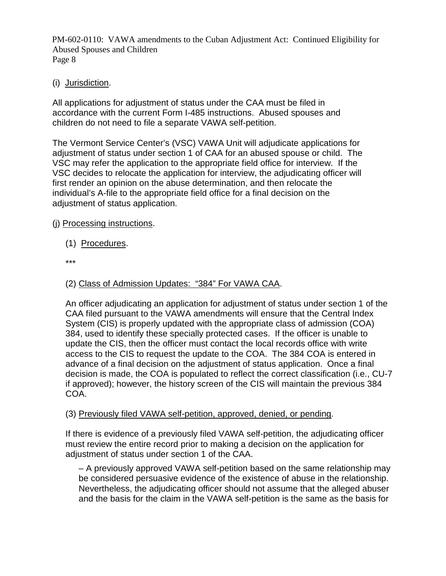## (i) Jurisdiction.

All applications for adjustment of status under the CAA must be filed in accordance with the current Form I-485 instructions. Abused spouses and children do not need to file a separate VAWA self-petition.

The Vermont Service Center's (VSC) VAWA Unit will adjudicate applications for adjustment of status under section 1 of CAA for an abused spouse or child. The VSC may refer the application to the appropriate field office for interview. If the VSC decides to relocate the application for interview, the adjudicating officer will first render an opinion on the abuse determination, and then relocate the individual's A-file to the appropriate field office for a final decision on the adjustment of status application.

## (j) Processing instructions.

- (1) Procedures.
- \*\*\*

## (2) Class of Admission Updates: "384" For VAWA CAA.

An officer adjudicating an application for adjustment of status under section 1 of the CAA filed pursuant to the VAWA amendments will ensure that the Central Index System (CIS) is properly updated with the appropriate class of admission (COA) 384, used to identify these specially protected cases. If the officer is unable to update the CIS, then the officer must contact the local records office with write access to the CIS to request the update to the COA. The 384 COA is entered in advance of a final decision on the adjustment of status application. Once a final decision is made, the COA is populated to reflect the correct classification (i.e., CU-7 if approved); however, the history screen of the CIS will maintain the previous 384 COA.

### (3) Previously filed VAWA self-petition, approved, denied, or pending.

If there is evidence of a previously filed VAWA self-petition, the adjudicating officer must review the entire record prior to making a decision on the application for adjustment of status under section 1 of the CAA.

– A previously approved VAWA self-petition based on the same relationship may be considered persuasive evidence of the existence of abuse in the relationship. Nevertheless, the adjudicating officer should not assume that the alleged abuser and the basis for the claim in the VAWA self-petition is the same as the basis for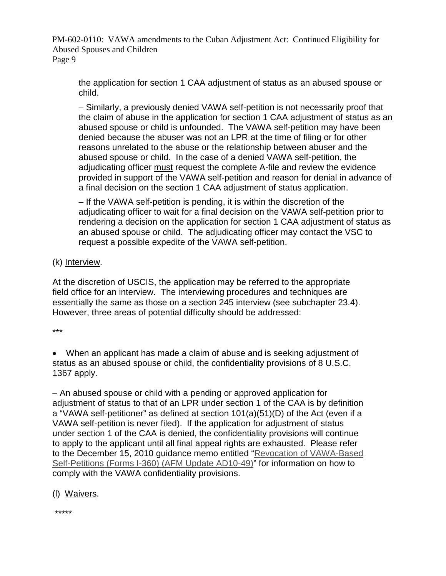the application for section 1 CAA adjustment of status as an abused spouse or child.

– Similarly, a previously denied VAWA self-petition is not necessarily proof that the claim of abuse in the application for section 1 CAA adjustment of status as an abused spouse or child is unfounded. The VAWA self-petition may have been denied because the abuser was not an LPR at the time of filing or for other reasons unrelated to the abuse or the relationship between abuser and the abused spouse or child. In the case of a denied VAWA self-petition, the adjudicating officer must request the complete A-file and review the evidence provided in support of the VAWA self-petition and reason for denial in advance of a final decision on the section 1 CAA adjustment of status application.

– If the VAWA self-petition is pending, it is within the discretion of the adjudicating officer to wait for a final decision on the VAWA self-petition prior to rendering a decision on the application for section 1 CAA adjustment of status as an abused spouse or child. The adjudicating officer may contact the VSC to request a possible expedite of the VAWA self-petition.

## (k) Interview.

At the discretion of USCIS, the application may be referred to the appropriate field office for an interview. The interviewing procedures and techniques are essentially the same as those on a section 245 interview (see subchapter 23.4). However, three areas of potential difficulty should be addressed:

\*\*\*

• When an applicant has made a claim of abuse and is seeking adjustment of status as an abused spouse or child, the confidentiality provisions of 8 U.S.C. 1367 apply.

– An abused spouse or child with a pending or approved application for adjustment of status to that of an LPR under section 1 of the CAA is by definition a "VAWA self-petitioner" as defined at section 101(a)(51)(D) of the Act (even if a VAWA self-petition is never filed). If the application for adjustment of status under section 1 of the CAA is denied, the confidentiality provisions will continue to apply to the applicant until all final appeal rights are exhausted. Please refer to the December 15, 2010 guidance memo entitled "Revocation of VAWA-Based Self-Petitions (Forms I-360) (AFM Update AD10-49)" for information on how to comply with the VAWA confidentiality provisions.

## (l) Waivers.

\*\*\*\*\*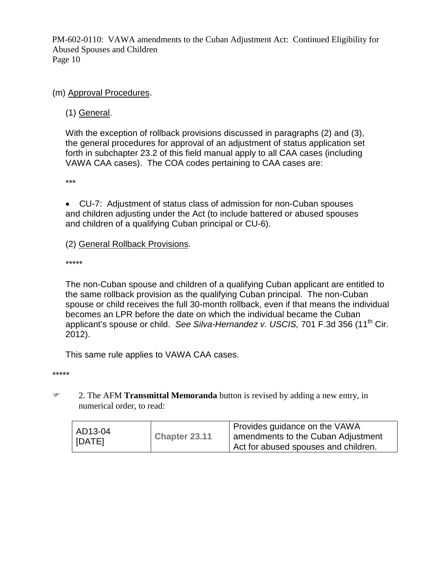(m) Approval Procedures.

(1) General.

With the exception of rollback provisions discussed in paragraphs (2) and (3), the general procedures for approval of an adjustment of status application set forth in subchapter 23.2 of this field manual apply to all CAA cases (including VAWA CAA cases). The COA codes pertaining to CAA cases are:

\*\*\*

• CU-7: Adjustment of status class of admission for non-Cuban spouses and children adjusting under the Act (to include battered or abused spouses and children of a qualifying Cuban principal or CU-6).

(2) General Rollback Provisions.

\*\*\*\*\*

The non-Cuban spouse and children of a qualifying Cuban applicant are entitled to the same rollback provision as the qualifying Cuban principal. The non-Cuban spouse or child receives the full 30-month rollback, even if that means the individual becomes an LPR before the date on which the individual became the Cuban applicant's spouse or child. *See Silva-Hernandez v. USCIS,* 701 F.3d 356 (11th Cir. 2012).

This same rule applies to VAWA CAA cases.

\*\*\*\*\*

) 2. The AFM **Transmittal Memoranda** button is revised by adding a new entry, in numerical order, to read:

| AD13-04<br>  [DATE] | Chapter 23.11 | Provides guidance on the VAWA<br>amendments to the Cuban Adjustment<br>Act for abused spouses and children. |
|---------------------|---------------|-------------------------------------------------------------------------------------------------------------|
|                     |               |                                                                                                             |